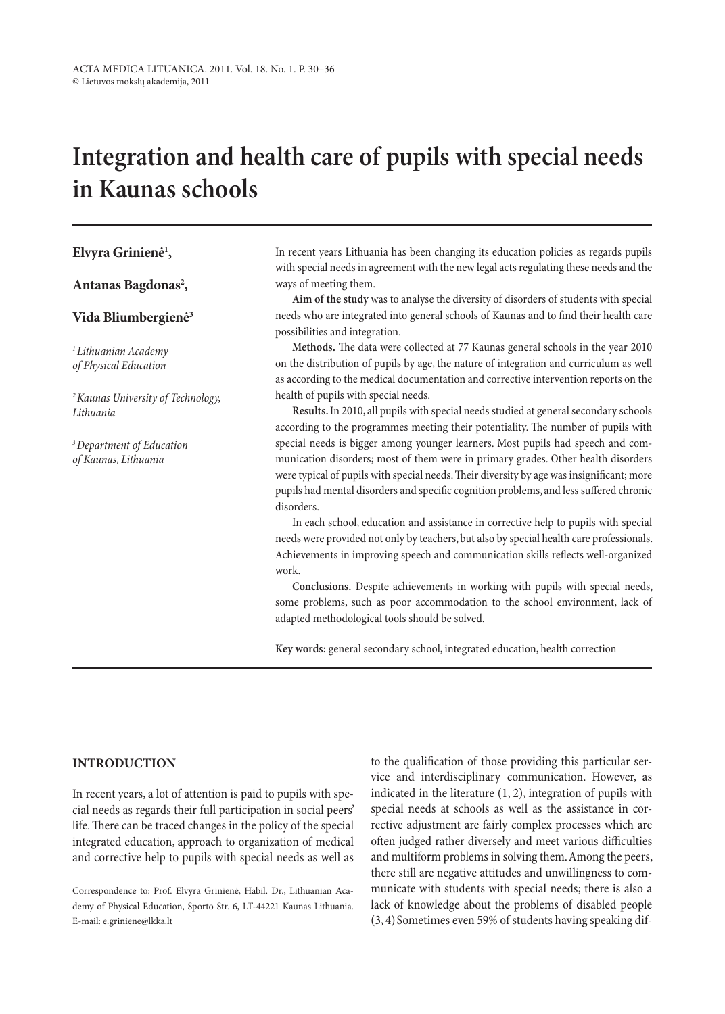# **integration and health care of pupils with special needs in Kaunas schools**

# **Elvyra Grinienė1 ,**

Antanas Bagdonas<sup>2</sup>,

## **Vida Bliumbergienė3**

*1Lithuanian Academy of Physical Education*

*2Kaunas University of Technology, Lithuania*

*3Department of Education of Kaunas, Lithuania*

In recent years Lithuania has been changing its education policies as regards pupils with special needs in agreement with the new legal acts regulating these needs and the ways of meeting them.

**Aim of the study** was to analyse the diversity of disorders of students with special needs who are integrated into general schools of Kaunas and to find their health care possibilities and integration.

**Methods.** The data were collected at 77 Kaunas general schools in the year 2010 on the distribution of pupils by age, the nature of integration and curriculum as well as according to the medical documentation and corrective intervention reports on the health of pupils with special needs.

**Results.** In 2010, all pupils with special needs studied at general secondary schools according to the programmes meeting their potentiality. The number of pupils with special needs is bigger among younger learners. Most pupils had speech and communication disorders; most of them were in primary grades. Other health disorders were typical of pupils with special needs. Their diversity by age was insignificant; more pupils had mental disorders and specific cognition problems, and less suffered chronic disorders.

In each school, education and assistance in corrective help to pupils with special needs were provided not only by teachers, but also by special health care professionals. Achievements in improving speech and communication skills reflects well-organized work.

**Conclusions.** Despite achievements in working with pupils with special needs, some problems, such as poor accommodation to the school environment, lack of adapted methodological tools should be solved.

**Key words:** general secondary school, integrated education, health correction

# **Introduction**

In recent years, a lot of attention is paid to pupils with special needs as regards their full participation in social peers' life. There can be traced changes in the policy of the special integrated education, approach to organization of medical and corrective help to pupils with special needs as well as to the qualification of those providing this particular service and interdisciplinary communication. However, as indicated in the literature (1, 2), integration of pupils with special needs at schools as well as the assistance in corrective adjustment are fairly complex processes which are often judged rather diversely and meet various difficulties and multiform problems in solving them. Among the peers, there still are negative attitudes and unwillingness to communicate with students with special needs; there is also a lack of knowledge about the problems of disabled people (3, 4)Sometimes even 59% of students having speaking dif-

Correspondence to: Prof. Elvyra Grinienė, Habil. Dr., Lithuanian Academy of Physical Education, Sporto Str. 6, LT-44221 Kaunas Lithuania. E-mail: e.griniene@lkka.lt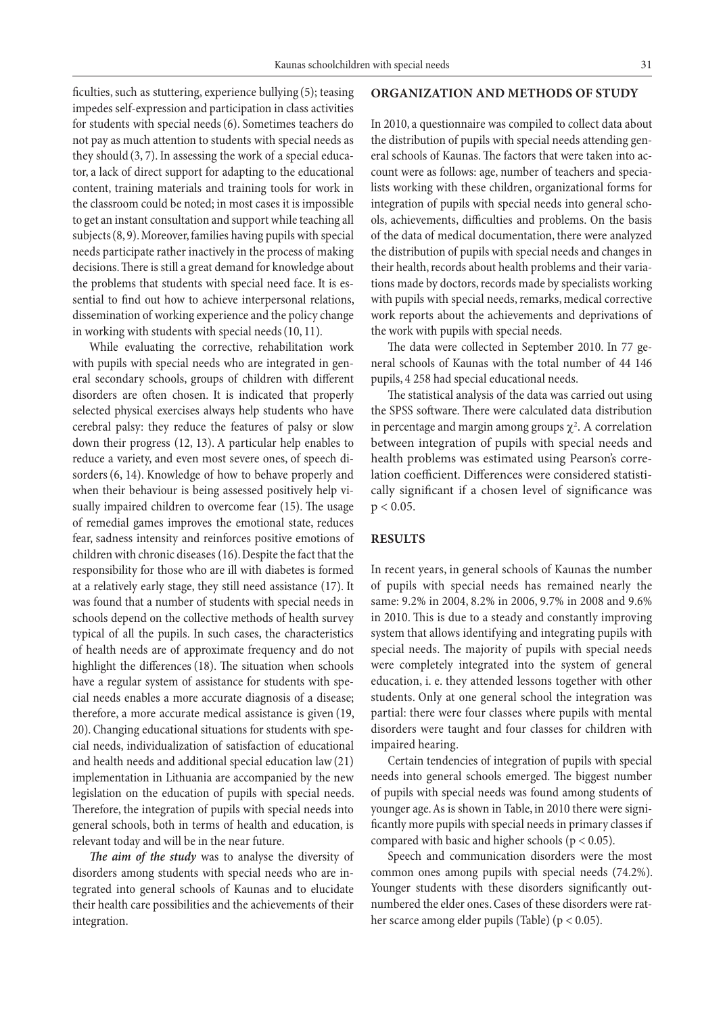ficulties, such as stuttering, experience bullying (5); teasing impedes self-expression and participation in class activities for students with special needs(6). Sometimes teachers do not pay as much attention to students with special needs as they should (3, 7). In assessing the work of a special educator, a lack of direct support for adapting to the educational content, training materials and training tools for work in the classroom could be noted; in most cases it is impossible to get an instant consultation and support while teaching all subjects(8, 9). Moreover, families having pupils with special needs participate rather inactively in the process of making decisions. There is still a great demand for knowledge about the problems that students with special need face. It is essential to find out how to achieve interpersonal relations, dissemination of working experience and the policy change in working with students with special needs(10, 11).

While evaluating the corrective, rehabilitation work with pupils with special needs who are integrated in general secondary schools, groups of children with different disorders are often chosen. It is indicated that properly selected physical exercises always help students who have cerebral palsy: they reduce the features of palsy or slow down their progress (12, 13). A particular help enables to reduce a variety, and even most severe ones, of speech disorders(6, 14). Knowledge of how to behave properly and when their behaviour is being assessed positively help visually impaired children to overcome fear (15). The usage of remedial games improves the emotional state, reduces fear, sadness intensity and reinforces positive emotions of children with chronic diseases (16). Despite the fact that the responsibility for those who are ill with diabetes is formed at a relatively early stage, they still need assistance (17). It was found that a number of students with special needs in schools depend on the collective methods of health survey typical of all the pupils. In such cases, the characteristics of health needs are of approximate frequency and do not highlight the differences (18). The situation when schools have a regular system of assistance for students with special needs enables a more accurate diagnosis of a disease; therefore, a more accurate medical assistance is given (19, 20). Changing educational situations for students with special needs, individualization of satisfaction of educational and health needs and additional special education law(21) implementation in Lithuania are accompanied by the new legislation on the education of pupils with special needs. Therefore, the integration of pupils with special needs into general schools, both in terms of health and education, is relevant today and will be in the near future.

*The aim of the study* was to analyse the diversity of disorders among students with special needs who are integrated into general schools of Kaunas and to elucidate their health care possibilities and the achievements of their integration.

#### **Organization and methods of study**

In 2010, a questionnaire was compiled to collect data about the distribution of pupils with special needs attending general schools of Kaunas. The factors that were taken into account were as follows: age, number of teachers and specialists working with these children, organizational forms for integration of pupils with special needs into general schools, achievements, difficulties and problems. On the basis of the data of medical documentation, there were analyzed the distribution of pupils with special needs and changes in their health, records about health problems and their variations made by doctors, records made by specialists working with pupils with special needs, remarks, medical corrective work reports about the achievements and deprivations of the work with pupils with special needs.

The data were collected in September 2010. In 77 general schools of Kaunas with the total number of 44 146 pupils, 4 258 had special educational needs.

The statistical analysis of the data was carried out using the SPSS software. There were calculated data distribution in percentage and margin among groups  $\chi^2$ . A correlation between integration of pupils with special needs and health problems was estimated using Pearson's correlation coefficient. Differences were considered statistically significant if a chosen level of significance was  $p < 0.05$ .

## **Results**

In recent years, in general schools of Kaunas the number of pupils with special needs has remained nearly the same: 9.2% in 2004, 8.2% in 2006, 9.7% in 2008 and 9.6% in 2010. This is due to a steady and constantly improving system that allows identifying and integrating pupils with special needs. The majority of pupils with special needs were completely integrated into the system of general education, i. e. they attended lessons together with other students. Only at one general school the integration was partial: there were four classes where pupils with mental disorders were taught and four classes for children with impaired hearing.

Certain tendencies of integration of pupils with special needs into general schools emerged. The biggest number of pupils with special needs was found among students of younger age. As is shown in Table, in 2010 there were significantly more pupils with special needs in primary classes if compared with basic and higher schools ( $p < 0.05$ ).

Speech and communication disorders were the most common ones among pupils with special needs (74.2%). Younger students with these disorders significantly outnumbered the elder ones. Cases of these disorders were rather scarce among elder pupils (Table) (p < 0.05).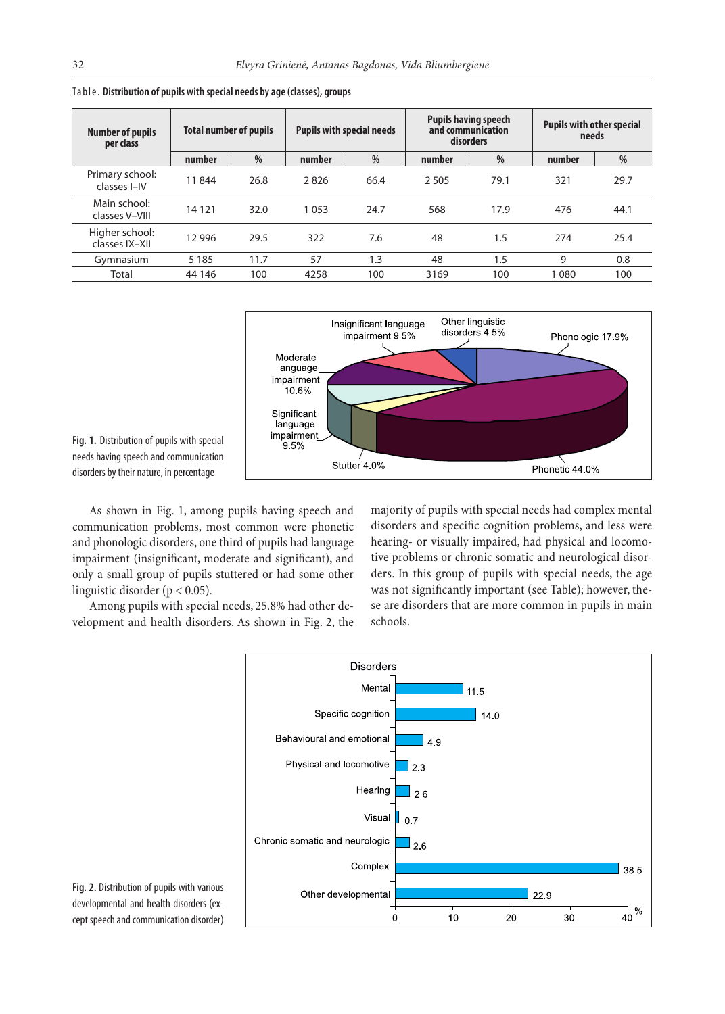| <b>Number of pupils</b><br>per class | <b>Total number of pupils</b> |               | <b>Pupils with special needs</b> |      | <b>Pupils having speech</b><br>and communication<br>disorders |      | <b>Pupils with other special</b><br>needs |      |
|--------------------------------------|-------------------------------|---------------|----------------------------------|------|---------------------------------------------------------------|------|-------------------------------------------|------|
|                                      | number                        | $\frac{0}{0}$ | number                           | $\%$ | number                                                        | %    | number                                    | $\%$ |
| Primary school:<br>classes I-IV      | 11844                         | 26.8          | 2826                             | 66.4 | 2 5 0 5                                                       | 79.1 | 321                                       | 29.7 |
| Main school:<br>classes V-VIII       | 14 121                        | 32.0          | 1053                             | 24.7 | 568                                                           | 17.9 | 476                                       | 44.1 |
| Higher school:<br>classes IX-XII     | 12 9 96                       | 29.5          | 322                              | 7.6  | 48                                                            | 1.5  | 274                                       | 25.4 |
| Gymnasium                            | 5 1 8 5                       | 11.7          | 57                               | 1.3  | 48                                                            | 1.5  | 9                                         | 0.8  |
| Total                                | 44 146                        | 100           | 4258                             | 100  | 3169                                                          | 100  | 1 0 8 0                                   | 100  |

Table. **Distribution of pupils with special needs by age (classes), groups**



**Fig. 1.** Distribution of pupils with special needs having speech and communication disorders by their nature, in percentage

As shown in Fig. 1, among pupils having speech and communication problems, most common were phonetic and phonologic disorders, one third of pupils had language impairment (insignificant, moderate and significant), and only a small group of pupils stuttered or had some other linguistic disorder ( $p < 0.05$ ).

Among pupils with special needs, 25.8% had other development and health disorders. As shown in Fig. 2, the majority of pupils with special needs had complex mental disorders and specific cognition problems, and less were hearing- or visually impaired, had physical and locomotive problems or chronic somatic and neurological disorders. In this group of pupils with special needs, the age was not significantly important (see Table); however, these are disorders that are more common in pupils in main schools.



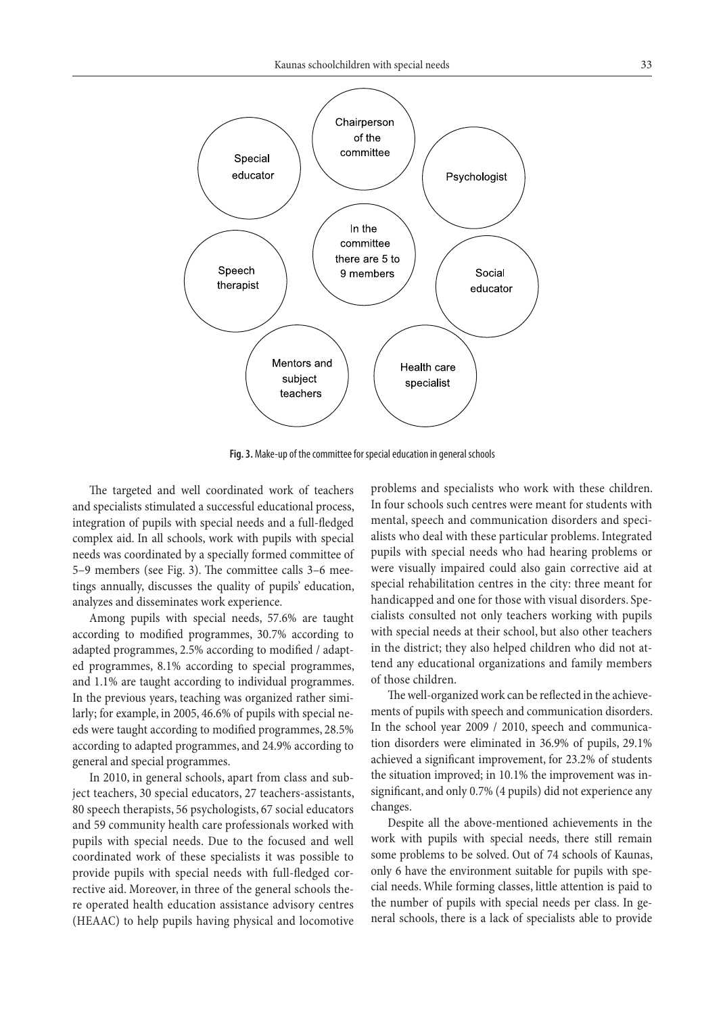

**Fig. 3.** Make-up of the committee for special education in general schools

The targeted and well coordinated work of teachers and specialists stimulated a successful educational process, integration of pupils with special needs and a full-fledged complex aid. In all schools, work with pupils with special needs was coordinated by a specially formed committee of 5–9 members (see Fig. 3). The committee calls 3–6 meetings annually, discusses the quality of pupils' education, analyzes and disseminates work experience.

Among pupils with special needs, 57.6% are taught according to modified programmes, 30.7% according to adapted programmes, 2.5% according to modified / adapted programmes, 8.1% according to special programmes, and 1.1% are taught according to individual programmes. In the previous years, teaching was organized rather similarly; for example, in 2005, 46.6% of pupils with special needs were taught according to modified programmes, 28.5% according to adapted programmes, and 24.9% according to general and special programmes.

In 2010, in general schools, apart from class and subject teachers, 30 special educators, 27 teachers-assistants, 80 speech therapists, 56 psychologists, 67 social educators and 59 community health care professionals worked with pupils with special needs. Due to the focused and well coordinated work of these specialists it was possible to provide pupils with special needs with full-fledged corrective aid. Moreover, in three of the general schools there operated health education assistance advisory centres (HEAAC) to help pupils having physical and locomotive problems and specialists who work with these children. In four schools such centres were meant for students with mental, speech and communication disorders and specialists who deal with these particular problems. Integrated pupils with special needs who had hearing problems or were visually impaired could also gain corrective aid at special rehabilitation centres in the city: three meant for handicapped and one for those with visual disorders. Specialists consulted not only teachers working with pupils with special needs at their school, but also other teachers in the district; they also helped children who did not attend any educational organizations and family members of those children.

The well-organized work can be reflected in the achievements of pupils with speech and communication disorders. In the school year 2009 / 2010, speech and communication disorders were eliminated in 36.9% of pupils, 29.1% achieved a significant improvement, for 23.2% of students the situation improved; in 10.1% the improvement was insignificant, and only 0.7% (4 pupils) did not experience any changes.

Despite all the above-mentioned achievements in the work with pupils with special needs, there still remain some problems to be solved. Out of 74 schools of Kaunas, only 6 have the environment suitable for pupils with special needs. While forming classes, little attention is paid to the number of pupils with special needs per class. In general schools, there is a lack of specialists able to provide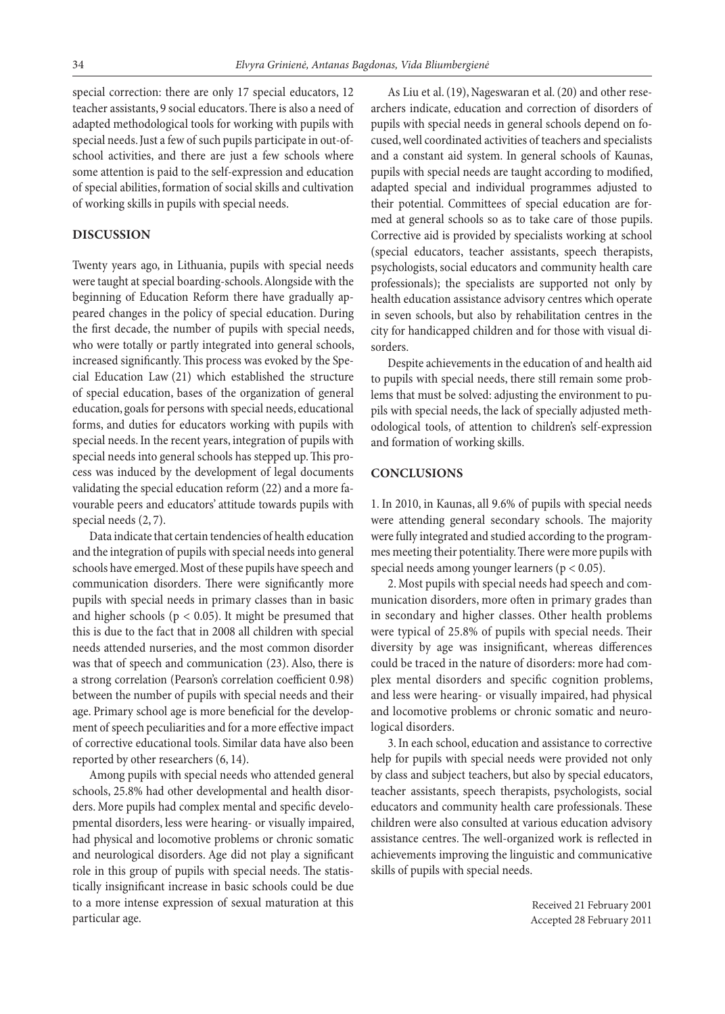special correction: there are only 17 special educators, 12 teacher assistants, 9 social educators. There is also a need of adapted methodological tools for working with pupils with special needs. Just a few of such pupils participate in out-ofschool activities, and there are just a few schools where some attention is paid to the self-expression and education of special abilities, formation of social skills and cultivation of working skills in pupils with special needs.

# **Discussion**

Twenty years ago, in Lithuania, pupils with special needs were taught at special boarding-schools. Alongside with the beginning of Education Reform there have gradually appeared changes in the policy of special education. During the first decade, the number of pupils with special needs, who were totally or partly integrated into general schools, increased significantly. This process was evoked by the Special Education Law (21) which established the structure of special education, bases of the organization of general education, goals for persons with special needs, educational forms, and duties for educators working with pupils with special needs. In the recent years, integration of pupils with special needs into general schools has stepped up. This process was induced by the development of legal documents validating the special education reform (22) and a more favourable peers and educators' attitude towards pupils with special needs (2, 7).

Data indicate that certain tendencies of health education and the integration of pupils with special needs into general schools have emerged. Most of these pupils have speech and communication disorders. There were significantly more pupils with special needs in primary classes than in basic and higher schools ( $p < 0.05$ ). It might be presumed that this is due to the fact that in 2008 all children with special needs attended nurseries, and the most common disorder was that of speech and communication (23). Also, there is a strong correlation (Pearson's correlation coefficient 0.98) between the number of pupils with special needs and their age. Primary school age is more beneficial for the development of speech peculiarities and for a more effective impact of corrective educational tools. Similar data have also been reported by other researchers (6, 14).

Among pupils with special needs who attended general schools, 25.8% had other developmental and health disorders. More pupils had complex mental and specific developmental disorders, less were hearing- or visually impaired, had physical and locomotive problems or chronic somatic and neurological disorders. Age did not play a significant role in this group of pupils with special needs. The statistically insignificant increase in basic schools could be due to a more intense expression of sexual maturation at this particular age.

As Liu et al.(19), Nageswaran et al.(20) and other researchers indicate, education and correction of disorders of pupils with special needs in general schools depend on focused, well coordinated activities of teachers and specialists and a constant aid system. In general schools of Kaunas, pupils with special needs are taught according to modified, adapted special and individual programmes adjusted to their potential. Committees of special education are formed at general schools so as to take care of those pupils. Corrective aid is provided by specialists working at school (special educators, teacher assistants, speech therapists, psychologists, social educators and community health care professionals); the specialists are supported not only by health education assistance advisory centres which operate in seven schools, but also by rehabilitation centres in the city for handicapped children and for those with visual disorders.

Despite achievements in the education of and health aid to pupils with special needs, there still remain some problems that must be solved: adjusting the environment to pupils with special needs, the lack of specially adjusted methodological tools, of attention to children's self-expression and formation of working skills.

## **Conclusions**

1. In 2010, in Kaunas, all 9.6% of pupils with special needs were attending general secondary schools. The majority were fully integrated and studied according to the programmes meeting their potentiality. There were more pupils with special needs among younger learners ( $p < 0.05$ ).

2.Most pupils with special needs had speech and communication disorders, more often in primary grades than in secondary and higher classes. Other health problems were typical of 25.8% of pupils with special needs. Their diversity by age was insignificant, whereas differences could be traced in the nature of disorders: more had complex mental disorders and specific cognition problems, and less were hearing- or visually impaired, had physical and locomotive problems or chronic somatic and neurological disorders.

3.In each school, education and assistance to corrective help for pupils with special needs were provided not only by class and subject teachers, but also by special educators, teacher assistants, speech therapists, psychologists, social educators and community health care professionals. These children were also consulted at various education advisory assistance centres. The well-organized work is reflected in achievements improving the linguistic and communicative skills of pupils with special needs.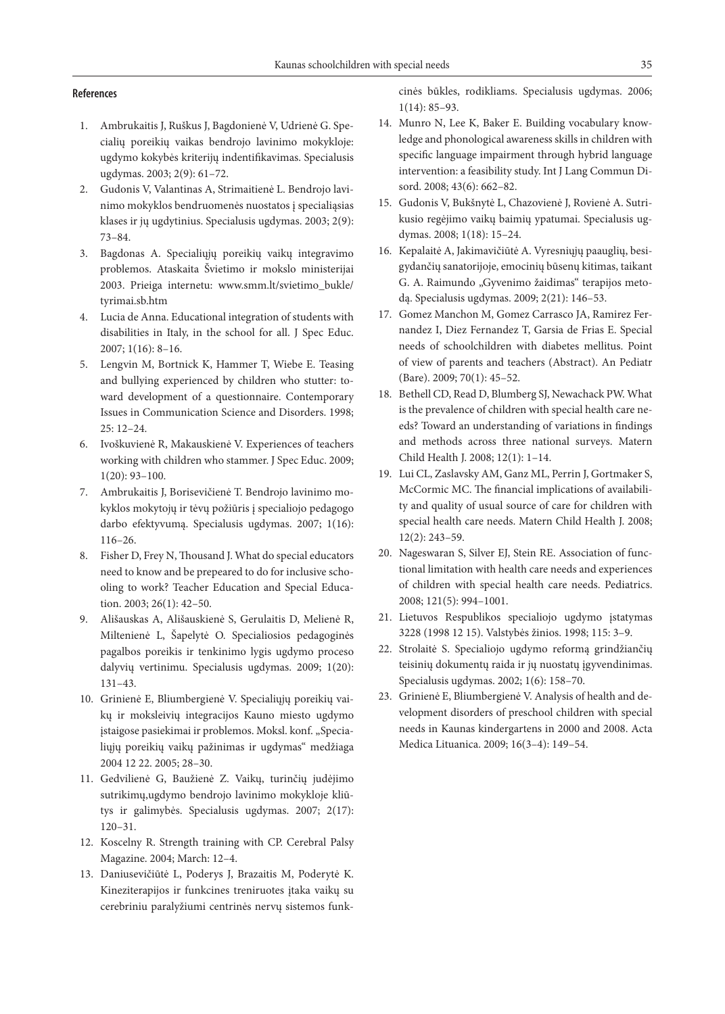#### **References**

- 1. Ambrukaitis J, Ruškus J, Bagdonienė V, Udrienė G. Specialių poreikių vaikas bendrojo lavinimo mokykloje: ugdymo kokybės kriterijų indentifikavimas. Specialusis ugdymas. 2003; 2(9): 61–72.
- 2. Gudonis V, Valantinas A, Strimaitienė L. Bendrojo lavinimo mokyklos bendruomenės nuostatos į specialiąsias klases ir jų ugdytinius. Specialusis ugdymas. 2003; 2(9): 73–84.
- 3. Bagdonas A. Specialiųjų poreikių vaikų integravimo problemos. Ataskaita Švietimo ir mokslo ministerijai 2003. Prieiga internetu: www.smm.lt/svietimo\_bukle/ tyrimai.sb.htm
- 4. Lucia de Anna. Educational integration of students with disabilities in Italy, in the school for all. J Spec Educ. 2007; 1(16): 8–16.
- 5. Lengvin M, Bortnick K, Hammer T, Wiebe E. Teasing and bullying experienced by children who stutter: toward development of a questionnaire. Contemporary Issues in Communication Science and Disorders. 1998; 25: 12–24.
- 6. Ivoškuvienė R, Makauskienė V. Experiences of teachers working with children who stammer. J Spec Educ. 2009; 1(20): 93–100.
- 7. Ambrukaitis J, Borisevičienė T. Bendrojo lavinimo mokyklos mokytojų ir tėvų požiūris į specialiojo pedagogo darbo efektyvumą. Specialusis ugdymas. 2007; 1(16): 116–26.
- 8. Fisher D, Frey N, Thousand J. What do special educators need to know and be prepeared to do for inclusive schooling to work? Teacher Education and Special Education. 2003; 26(1): 42–50.
- 9. Ališauskas A, Ališauskienė S, Gerulaitis D, Melienė R, Miltenienė L, Šapelytė O. Specialiosios pedagoginės pagalbos poreikis ir tenkinimo lygis ugdymo proceso dalyvių vertinimu. Specialusis ugdymas. 2009; 1(20): 131–43.
- 10. Grinienė E, Bliumbergienė V. Specialiųjų poreikių vaikų ir moksleivių integracijos Kauno miesto ugdymo įstaigose pasiekimai ir problemos. Moksl. konf. "Specialiųjų poreikių vaikų pažinimas ir ugdymas" medžiaga 2004 12 22. 2005; 28–30.
- 11. Gedvilienė G, Baužienė Z. Vaikų, turinčių judėjimo sutrikimų,ugdymo bendrojo lavinimo mokykloje kliūtys ir galimybės. Specialusis ugdymas. 2007; 2(17): 120–31.
- 12. Koscelny R. Strength training with CP. Cerebral Palsy Magazine. 2004; March: 12–4.
- 13. Daniusevičiūtė L, Poderys J, Brazaitis M, Poderytė K. Kineziterapijos ir funkcines treniruotes įtaka vaikų su cerebriniu paralyžiumi centrinės nervų sistemos funk-

cinės būkles, rodikliams. Specialusis ugdymas. 2006; 1(14): 85–93.

- 14. Munro N, Lee K, Baker E. Building vocabulary knowledge and phonological awareness skills in children with specific language impairment through hybrid language intervention: a feasibility study. Int J Lang Commun Disord. 2008; 43(6): 662–82.
- 15. Gudonis V, Bukšnytė L, Chazovienė J, Rovienė A. Sutrikusio regėjimo vaikų baimių ypatumai. Specialusis ugdymas. 2008; 1(18): 15–24.
- 16. Kepalaitė A, Jakimavičiūtė A. Vyresniųjų paauglių, besigydančių sanatorijoje, emocinių būsenų kitimas, taikant G. A. Raimundo "Gyvenimo žaidimas" terapijos metodą. Specialusis ugdymas. 2009; 2(21): 146–53.
- 17. Gomez Manchon M, Gomez Carrasco JA, Ramirez Fernandez I, Diez Fernandez T, Garsia de Frias E. Special needs of schoolchildren with diabetes mellitus. Point of view of parents and teachers (Abstract). An Pediatr (Bare). 2009; 70(1): 45–52.
- 18. Bethell CD, Read D, Blumberg SJ, Newachack PW. What is the prevalence of children with special health care needs? Toward an understanding of variations in findings and methods across three national surveys. Matern Child Health J. 2008; 12(1): 1–14.
- 19. Lui CL, Zaslavsky AM, Ganz ML, Perrin J, Gortmaker S, McCormic MC. The financial implications of availability and quality of usual source of care for children with special health care needs. Matern Child Health J. 2008; 12(2): 243–59.
- 20. Nageswaran S, Silver EJ, Stein RE. Association of functional limitation with health care needs and experiences of children with special health care needs. Pediatrics. 2008; 121(5): 994–1001.
- 21. Lietuvos Respublikos specialiojo ugdymo įstatymas 3228 (1998 12 15). Valstybės žinios. 1998; 115: 3–9.
- 22. Strolaitė S. Specialiojo ugdymo reformą grindžiančių teisinių dokumentų raida ir jų nuostatų įgyvendinimas. Specialusis ugdymas. 2002; 1(6): 158–70.
- 23. Grinienė E, Bliumbergienė V. Analysis of health and development disorders of preschool children with special needs in Kaunas kindergartens in 2000 and 2008. Acta Medica Lituanica. 2009; 16(3–4): 149–54.